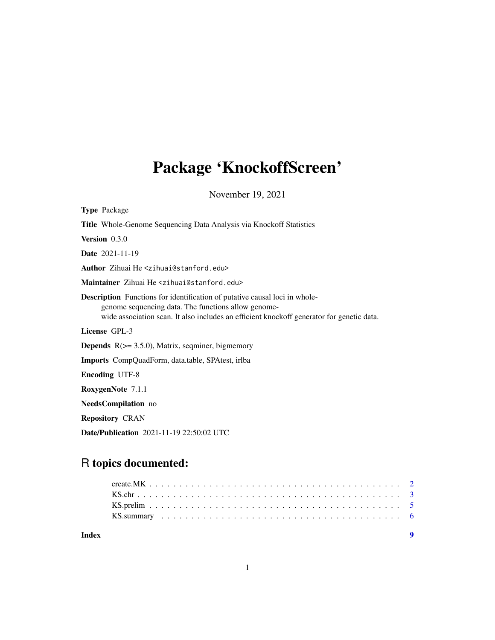## Package 'KnockoffScreen'

November 19, 2021

| <b>Type Package</b>                                                                                                                                                                                                                   |
|---------------------------------------------------------------------------------------------------------------------------------------------------------------------------------------------------------------------------------------|
| Title Whole-Genome Sequencing Data Analysis via Knockoff Statistics                                                                                                                                                                   |
| Version 0.3.0                                                                                                                                                                                                                         |
| <b>Date</b> 2021-11-19                                                                                                                                                                                                                |
| Author Zihuai He <zihuai@stanford.edu></zihuai@stanford.edu>                                                                                                                                                                          |
| Maintainer Zihuai He <zihuai@stanford.edu></zihuai@stanford.edu>                                                                                                                                                                      |
| <b>Description</b> Functions for identification of putative causal loci in whole-<br>genome sequencing data. The functions allow genome-<br>wide association scan. It also includes an efficient knockoff generator for genetic data. |
| License GPL-3                                                                                                                                                                                                                         |
| <b>Depends</b> $R$ ( $> = 3.5.0$ ), Matrix, seqminer, bigmemory                                                                                                                                                                       |
| <b>Imports</b> CompQuadForm, data.table, SPAtest, irlba                                                                                                                                                                               |
| <b>Encoding UTF-8</b>                                                                                                                                                                                                                 |
| RoxygenNote 7.1.1                                                                                                                                                                                                                     |
| <b>NeedsCompilation</b> no                                                                                                                                                                                                            |
| <b>Repository CRAN</b>                                                                                                                                                                                                                |
| <b>Date/Publication</b> 2021-11-19 22:50:02 UTC                                                                                                                                                                                       |

### R topics documented:

**Index** [9](#page-8-0)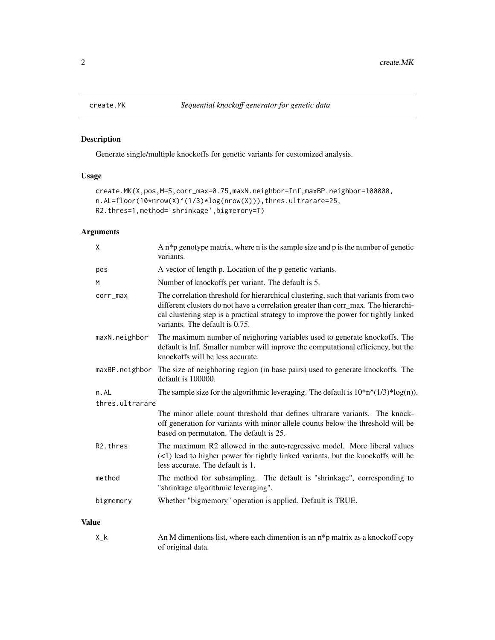<span id="page-1-0"></span>

#### Description

Generate single/multiple knockoffs for genetic variants for customized analysis.

#### Usage

```
create.MK(X,pos,M=5,corr_max=0.75,maxN.neighbor=Inf,maxBP.neighbor=100000,
n.AL=floor(10*nrow(X)^(1/3)*log(nrow(X))),thres.ultrarare=25,
R2.thres=1,method='shrinkage',bigmemory=T)
```
### Arguments

|              | X                     | A $n * p$ genotype matrix, where n is the sample size and p is the number of genetic<br>variants.                                                                                                                                                                                                 |
|--------------|-----------------------|---------------------------------------------------------------------------------------------------------------------------------------------------------------------------------------------------------------------------------------------------------------------------------------------------|
|              | pos                   | A vector of length p. Location of the p genetic variants.                                                                                                                                                                                                                                         |
|              | M                     | Number of knockoffs per variant. The default is 5.                                                                                                                                                                                                                                                |
|              | corr_max              | The correlation threshold for hierarchical clustering, such that variants from two<br>different clusters do not have a correlation greater than corr_max. The hierarchi-<br>cal clustering step is a practical strategy to improve the power for tightly linked<br>variants. The default is 0.75. |
|              | maxN.neighbor         | The maximum number of neighoring variables used to generate knockoffs. The<br>default is Inf. Smaller number will inprove the computational efficiency, but the<br>knockoffs will be less accurate.                                                                                               |
|              |                       | maxBP.neighbor The size of neighboring region (in base pairs) used to generate knockoffs. The<br>default is 100000.                                                                                                                                                                               |
|              | n.AL                  | The sample size for the algorithmic leveraging. The default is $10^* n^{\wedge} (1/3)^* \log(n)$ .                                                                                                                                                                                                |
|              | thres.ultrarare       |                                                                                                                                                                                                                                                                                                   |
|              |                       | The minor allele count threshold that defines ultrarare variants. The knock-<br>off generation for variants with minor allele counts below the threshold will be<br>based on permutaton. The default is 25.                                                                                       |
|              | R <sub>2</sub> .thres | The maximum R2 allowed in the auto-regressive model. More liberal values<br>(<1) lead to higher power for tightly linked variants, but the knockoffs will be<br>less accurate. The default is 1.                                                                                                  |
|              | method                | The method for subsampling. The default is "shrinkage", corresponding to<br>"shrinkage algorithmic leveraging".                                                                                                                                                                                   |
|              | bigmemory             | Whether "bigmemory" operation is applied. Default is TRUE.                                                                                                                                                                                                                                        |
| <b>Value</b> |                       |                                                                                                                                                                                                                                                                                                   |

X<sub>-</sub>k An M dimentions list, where each dimention is an n<sup>\*</sup>p matrix as a knockoff copy of original data.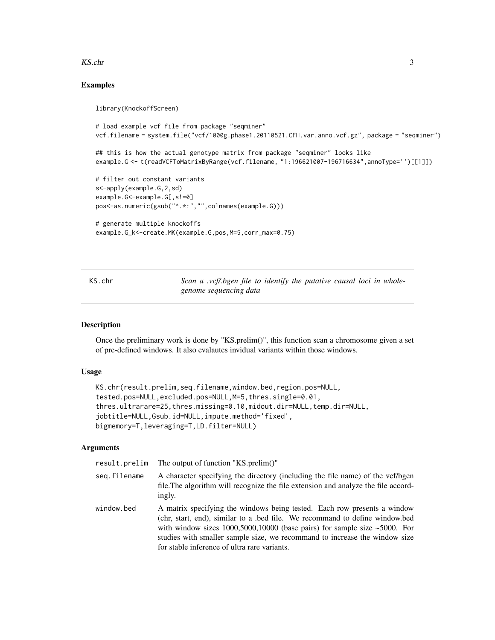#### <span id="page-2-0"></span>KS.chr 3

#### Examples

library(KnockoffScreen)

```
# load example vcf file from package "seqminer"
vcf.filename = system.file("vcf/1000g.phase1.20110521.CFH.var.anno.vcf.gz", package = "seqminer")
## this is how the actual genotype matrix from package "seqminer" looks like
example.G <- t(readVCFToMatrixByRange(vcf.filename, "1:196621007-196716634",annoType='')[[1]])
# filter out constant variants
s<-apply(example.G,2,sd)
example.G<-example.G[,s!=0]
pos<-as.numeric(gsub("^.*:","",colnames(example.G)))
# generate multiple knockoffs
example.G_k<-create.MK(example.G,pos,M=5,corr_max=0.75)
```
KS.chr *Scan a .vcf/.bgen file to identify the putative causal loci in wholegenome sequencing data*

#### Description

Once the preliminary work is done by "KS.prelim()", this function scan a chromosome given a set of pre-defined windows. It also evalautes invidual variants within those windows.

#### Usage

```
KS.chr(result.prelim,seq.filename,window.bed,region.pos=NULL,
tested.pos=NULL,excluded.pos=NULL,M=5,thres.single=0.01,
thres.ultrarare=25,thres.missing=0.10,midout.dir=NULL,temp.dir=NULL,
jobtitle=NULL,Gsub.id=NULL,impute.method='fixed',
bigmemory=T,leveraging=T,LD.filter=NULL)
```
#### Arguments

| result.prelim | The output of function "KS.prelim()"                                                                                                                                                                                                                                                                                                                                        |
|---------------|-----------------------------------------------------------------------------------------------------------------------------------------------------------------------------------------------------------------------------------------------------------------------------------------------------------------------------------------------------------------------------|
| seg.filename  | A character specifying the directory (including the file name) of the vcf/bgen<br>file. The algorithm will recognize the file extension and analyze the file accord-<br>ingly.                                                                                                                                                                                              |
| window.bed    | A matrix specifying the windows being tested. Each row presents a window<br>(chr, start, end), similar to a bed file. We recommand to define window.bed<br>with window sizes $1000,5000,10000$ (base pairs) for sample size $\sim 5000$ . For<br>studies with smaller sample size, we recommand to increase the window size<br>for stable inference of ultra rare variants. |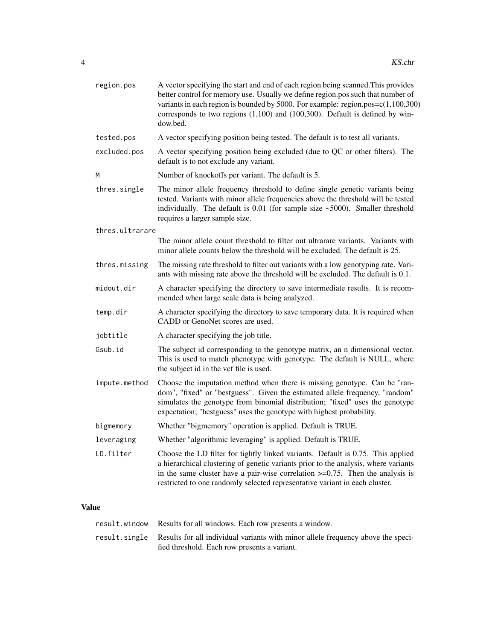| region.pos      | A vector specifying the start and end of each region being scanned. This provides<br>better control for memory use. Usually we define region.pos such that number of<br>variants in each region is bounded by 5000. For example: region.pos= $c(1,100,300)$<br>corresponds to two regions $(1,100)$ and $(100,300)$ . Default is defined by win-<br>dow.bed. |
|-----------------|--------------------------------------------------------------------------------------------------------------------------------------------------------------------------------------------------------------------------------------------------------------------------------------------------------------------------------------------------------------|
| tested.pos      | A vector specifying position being tested. The default is to test all variants.                                                                                                                                                                                                                                                                              |
| excluded.pos    | A vector specifying position being excluded (due to QC or other filters). The<br>default is to not exclude any variant.                                                                                                                                                                                                                                      |
| M               | Number of knockoffs per variant. The default is 5.                                                                                                                                                                                                                                                                                                           |
| thres.single    | The minor allele frequency threshold to define single genetic variants being<br>tested. Variants with minor allele frequencies above the threshold will be tested<br>individually. The default is $0.01$ (for sample size $~5000$ ). Smaller threshold<br>requires a larger sample size.                                                                     |
| thres.ultrarare |                                                                                                                                                                                                                                                                                                                                                              |
|                 | The minor allele count threshold to filter out ultrarare variants. Variants with<br>minor allele counts below the threshold will be excluded. The default is 25.                                                                                                                                                                                             |
| thres.missing   | The missing rate threshold to filter out variants with a low genotyping rate. Vari-<br>ants with missing rate above the threshold will be excluded. The default is 0.1.                                                                                                                                                                                      |
| midout.dir      | A character specifying the directory to save intermediate results. It is recom-<br>mended when large scale data is being analyzed.                                                                                                                                                                                                                           |
| temp.dir        | A character specifying the directory to save temporary data. It is required when<br>CADD or GenoNet scores are used.                                                                                                                                                                                                                                         |
| jobtitle        | A character specifying the job title.                                                                                                                                                                                                                                                                                                                        |
| Gsub.id         | The subject id corresponding to the genotype matrix, an n dimensional vector.<br>This is used to match phenotype with genotype. The default is NULL, where<br>the subject id in the vcf file is used.                                                                                                                                                        |
| impute.method   | Choose the imputation method when there is missing genotype. Can be "ran-<br>dom", "fixed" or "bestguess". Given the estimated allele frequency, "random"<br>simulates the genotype from binomial distribution; "fixed" uses the genotype<br>expectation; "bestguess" uses the genotype with highest probability.                                            |
| bigmemory       | Whether "bigmemory" operation is applied. Default is TRUE.                                                                                                                                                                                                                                                                                                   |
| leveraging      | Whether "algorithmic leveraging" is applied. Default is TRUE.                                                                                                                                                                                                                                                                                                |
| LD.filter       | Choose the LD filter for tightly linked variants. Default is 0.75. This applied<br>a hierarchical clustering of genetic variants prior to the analysis, where variants<br>in the same cluster have a pair-wise correlation $\geq 0.75$ . Then the analysis is<br>restricted to one randomly selected representative variant in each cluster.                 |

### Value

| result.window Results for all windows. Each row presents a window.                             |
|------------------------------------------------------------------------------------------------|
| result single Results for all individual variants with minor allele frequency above the speci- |
| fied threshold. Each row presents a variant.                                                   |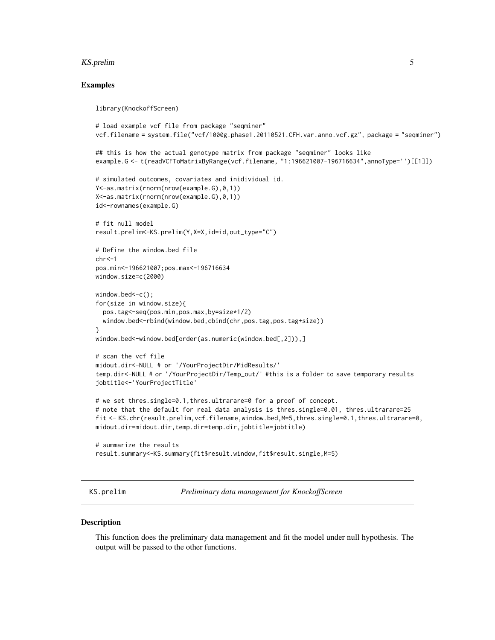#### <span id="page-4-0"></span>KS.prelim 5

#### Examples

library(KnockoffScreen)

```
# load example vcf file from package "seqminer"
vcf.filename = system.file("vcf/1000g.phase1.20110521.CFH.var.anno.vcf.gz", package = "seqminer")
## this is how the actual genotype matrix from package "seqminer" looks like
example.G <- t(readVCFToMatrixByRange(vcf.filename, "1:196621007-196716634",annoType='')[[1]])
# simulated outcomes, covariates and inidividual id.
Y<-as.matrix(rnorm(nrow(example.G),0,1))
X<-as.matrix(rnorm(nrow(example.G),0,1))
id<-rownames(example.G)
# fit null model
result.prelim<-KS.prelim(Y,X=X,id=id,out_type="C")
# Define the window.bed file
chr < -1pos.min<-196621007;pos.max<-196716634
window.size=c(2000)
window.bed <- c();
for(size in window.size){
  pos.tag<-seq(pos.min,pos.max,by=size*1/2)
  window.bed<-rbind(window.bed,cbind(chr,pos.tag,pos.tag+size))
}
window.bed<-window.bed[order(as.numeric(window.bed[,2])),]
# scan the vcf file
midout.dir<-NULL # or '/YourProjectDir/MidResults/'
temp.dir<-NULL # or '/YourProjectDir/Temp_out/' #this is a folder to save temporary results
jobtitle<-'YourProjectTitle'
# we set thres.single=0.1,thres.ultrarare=0 for a proof of concept.
# note that the default for real data analysis is thres.single=0.01, thres.ultrarare=25
fit <- KS.chr(result.prelim,vcf.filename,window.bed,M=5,thres.single=0.1,thres.ultrarare=0,
midout.dir=midout.dir,temp.dir=temp.dir,jobtitle=jobtitle)
# summarize the results
result.summary<-KS.summary(fit$result.window,fit$result.single,M=5)
```
KS.prelim *Preliminary data management for KnockoffScreen*

#### **Description**

This function does the preliminary data management and fit the model under null hypothesis. The output will be passed to the other functions.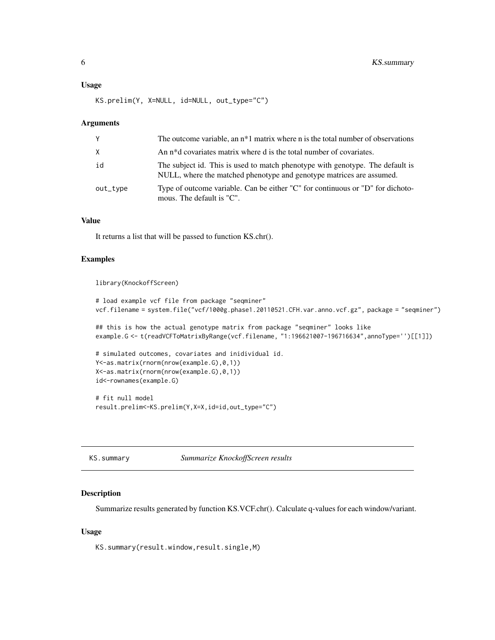#### <span id="page-5-0"></span>Usage

KS.prelim(Y, X=NULL, id=NULL, out\_type="C")

#### Arguments

| Y            | The outcome variable, an $n*1$ matrix where n is the total number of observations                                                                     |
|--------------|-------------------------------------------------------------------------------------------------------------------------------------------------------|
| $\mathsf{X}$ | An n <sup>*</sup> d covariates matrix where d is the total number of covariates.                                                                      |
| id           | The subject id. This is used to match phenotype with genotype. The default is<br>NULL, where the matched phenotype and genotype matrices are assumed. |
| out_type     | Type of outcome variable. Can be either "C" for continuous or "D" for dichoto-<br>mous. The default is "C".                                           |

#### Value

It returns a list that will be passed to function KS.chr().

#### Examples

```
library(KnockoffScreen)
```

```
# load example vcf file from package "seqminer"
vcf.filename = system.file("vcf/1000g.phase1.20110521.CFH.var.anno.vcf.gz", package = "seqminer")
## this is how the actual genotype matrix from package "seqminer" looks like
example.G <- t(readVCFToMatrixByRange(vcf.filename, "1:196621007-196716634",annoType='')[[1]])
# simulated outcomes, covariates and inidividual id.
Y<-as.matrix(rnorm(nrow(example.G),0,1))
X<-as.matrix(rnorm(nrow(example.G),0,1))
id<-rownames(example.G)
# fit null model
result.prelim<-KS.prelim(Y,X=X,id=id,out_type="C")
```
KS.summary *Summarize KnockoffScreen results*

#### Description

Summarize results generated by function KS.VCF.chr(). Calculate q-values for each window/variant.

#### Usage

KS.summary(result.window,result.single,M)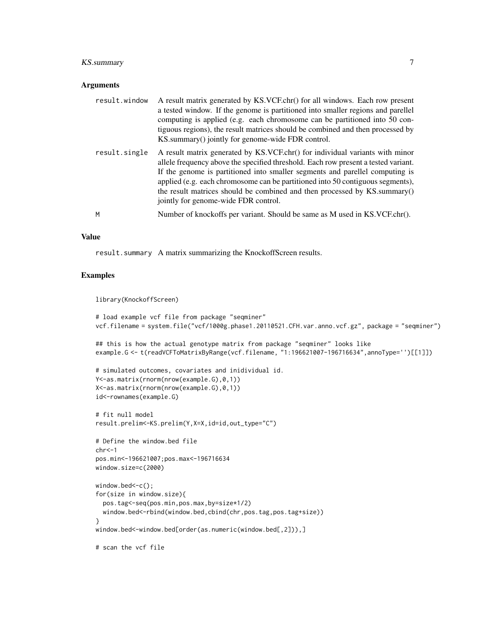#### KS.summary 7

#### **Arguments**

| result.window | A result matrix generated by KS.VCF.chr() for all windows. Each row present<br>a tested window. If the genome is partitioned into smaller regions and parellel<br>computing is applied (e.g. each chromosome can be partitioned into 50 con-<br>tiguous regions), the result matrices should be combined and then processed by<br>KS.summary() jointly for genome-wide FDR control.                                                                       |
|---------------|-----------------------------------------------------------------------------------------------------------------------------------------------------------------------------------------------------------------------------------------------------------------------------------------------------------------------------------------------------------------------------------------------------------------------------------------------------------|
| result.single | A result matrix generated by KS.VCF.chr() for individual variants with minor<br>allele frequency above the specified threshold. Each row present a tested variant.<br>If the genome is partitioned into smaller segments and parellel computing is<br>applied (e.g. each chromosome can be partitioned into 50 contiguous segments),<br>the result matrices should be combined and then processed by KS.summary()<br>jointly for genome-wide FDR control. |
| M             | Number of knockoffs per variant. Should be same as M used in KS.VCF.chr().                                                                                                                                                                                                                                                                                                                                                                                |

#### Value

result.summary A matrix summarizing the KnockoffScreen results.

### Examples

#### library(KnockoffScreen)

```
# load example vcf file from package "seqminer"
vcf.filename = system.file("vcf/1000g.phase1.20110521.CFH.var.anno.vcf.gz", package = "seqminer")
## this is how the actual genotype matrix from package "seqminer" looks like
example.G <- t(readVCFToMatrixByRange(vcf.filename, "1:196621007-196716634",annoType='')[[1]])
# simulated outcomes, covariates and inidividual id.
Y<-as.matrix(rnorm(nrow(example.G),0,1))
X<-as.matrix(rnorm(nrow(example.G),0,1))
id<-rownames(example.G)
# fit null model
result.prelim<-KS.prelim(Y,X=X,id=id,out_type="C")
# Define the window.bed file
chr<-1
```

```
window.size=c(2000)
window.bed <- c();
for(size in window.size){
  pos.tag<-seq(pos.min,pos.max,by=size*1/2)
  window.bed<-rbind(window.bed,cbind(chr,pos.tag,pos.tag+size))
}
window.bed<-window.bed[order(as.numeric(window.bed[,2])),]
```
# scan the vcf file

pos.min<-196621007;pos.max<-196716634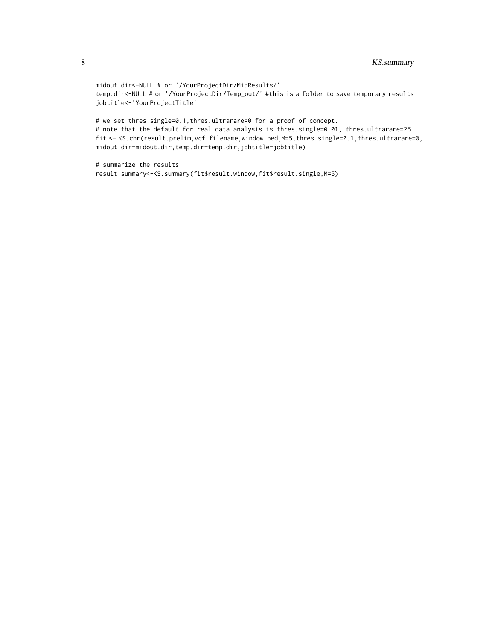midout.dir<-NULL # or '/YourProjectDir/MidResults/' temp.dir<-NULL # or '/YourProjectDir/Temp\_out/' #this is a folder to save temporary results jobtitle<-'YourProjectTitle'

# we set thres.single=0.1,thres.ultrarare=0 for a proof of concept. # note that the default for real data analysis is thres.single=0.01, thres.ultrarare=25 fit <- KS.chr(result.prelim,vcf.filename,window.bed,M=5,thres.single=0.1,thres.ultrarare=0, midout.dir=midout.dir,temp.dir=temp.dir,jobtitle=jobtitle)

# summarize the results result.summary<-KS.summary(fit\$result.window,fit\$result.single,M=5)